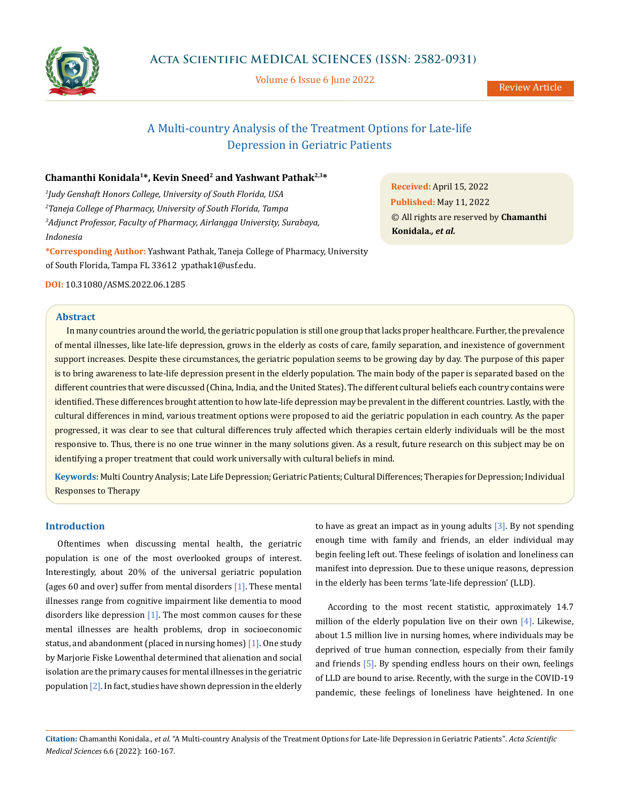

Volume 6 Issue 6 June 2022

Review Article

# A Multi-country Analysis of the Treatment Options for Late-life Depression in Geriatric Patients

# **Chamanthi Konidala1\*, Kevin Sneed2 and Yashwant Pathak2,3\***

 *Judy Genshaft Honors College, University of South Florida, USA Taneja College of Pharmacy, University of South Florida, Tampa Adjunct Professor, Faculty of Pharmacy, Airlangga University, Surabaya, Indonesia* 

**\*Corresponding Author:** Yashwant Pathak, Taneja College of Pharmacy, University of South Florida, Tampa FL 33612 ypathak1@usf.edu.

**DOI:** [10.31080/ASMS.2022.06.128](http://actascientific.com/ASMS/pdf/ASMS-06-1285.pdf)5

#### **Abstract**

In many countries around the world, the geriatric population is still one group that lacks proper healthcare. Further, the prevalence of mental illnesses, like late-life depression, grows in the elderly as costs of care, family separation, and inexistence of government support increases. Despite these circumstances, the geriatric population seems to be growing day by day. The purpose of this paper is to bring awareness to late-life depression present in the elderly population. The main body of the paper is separated based on the different countries that were discussed (China, India, and the United States). The different cultural beliefs each country contains were identified. These differences brought attention to how late-life depression may be prevalent in the different countries. Lastly, with the cultural differences in mind, various treatment options were proposed to aid the geriatric population in each country. As the paper progressed, it was clear to see that cultural differences truly affected which therapies certain elderly individuals will be the most responsive to. Thus, there is no one true winner in the many solutions given. As a result, future research on this subject may be on identifying a proper treatment that could work universally with cultural beliefs in mind.

**Keywords:** Multi Country Analysis; Late Life Depression; Geriatric Patients; Cultural Differences; Therapies for Depression; Individual Responses to Therapy

### **Introduction**

Oftentimes when discussing mental health, the geriatric population is one of the most overlooked groups of interest. Interestingly, about 20% of the universal geriatric population (ages 60 and over) suffer from mental disorders  $[1]$ . These mental illnesses range from cognitive impairment like dementia to mood disorders like depression  $[1]$ . The most common causes for these mental illnesses are health problems, drop in socioeconomic status, and abandonment (placed in nursing homes) [1]. One study by Marjorie Fiske Lowenthal determined that alienation and social isolation are the primary causes for mental illnesses in the geriatric population [2]. In fact, studies have shown depression in the elderly to have as great an impact as in young adults  $[3]$ . By not spending enough time with family and friends, an elder individual may begin feeling left out. These feelings of isolation and loneliness can manifest into depression. Due to these unique reasons, depression in the elderly has been terms 'late-life depression' (LLD).

According to the most recent statistic, approximately 14.7 million of the elderly population live on their own [4]. Likewise, about 1.5 million live in nursing homes, where individuals may be deprived of true human connection, especially from their family and friends [5]. By spending endless hours on their own, feelings of LLD are bound to arise. Recently, with the surge in the COVID-19 pandemic, these feelings of loneliness have heightened. In one

**Citation:** Chamanthi Konidala*., et al.* "A Multi-country Analysis of the Treatment Options for Late-life Depression in Geriatric Patients". *Acta Scientific Medical Sciences* 6.6 (2022): 160-167.

**Received:** April 15, 2022 **Published:** May 11, 2022 © All rights are reserved by **Chamanthi Konidala***., et al.*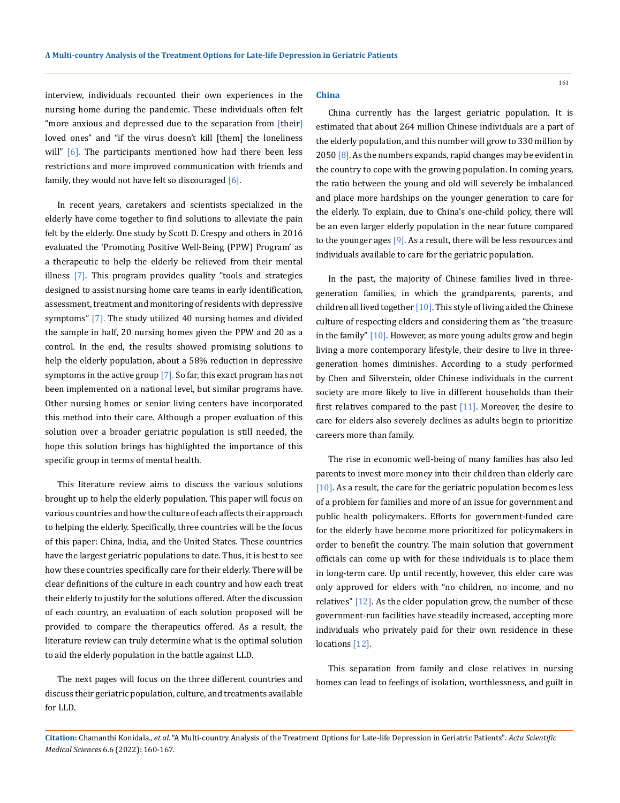interview, individuals recounted their own experiences in the nursing home during the pandemic. These individuals often felt "more anxious and depressed due to the separation from [their] loved ones" and "if the virus doesn't kill [them] the loneliness will"  $[6]$ . The participants mentioned how had there been less restrictions and more improved communication with friends and family, they would not have felt so discouraged [6].

In recent years, caretakers and scientists specialized in the elderly have come together to find solutions to alleviate the pain felt by the elderly. One study by Scott D. Crespy and others in 2016 evaluated the 'Promoting Positive Well-Being (PPW) Program' as a therapeutic to help the elderly be relieved from their mental illness  $[7]$ . This program provides quality "tools and strategies designed to assist nursing home care teams in early identification, assessment, treatment and monitoring of residents with depressive symptoms" [7]. The study utilized 40 nursing homes and divided the sample in half, 20 nursing homes given the PPW and 20 as a control. In the end, the results showed promising solutions to help the elderly population, about a 58% reduction in depressive symptoms in the active group  $[7]$ . So far, this exact program has not been implemented on a national level, but similar programs have. Other nursing homes or senior living centers have incorporated this method into their care. Although a proper evaluation of this solution over a broader geriatric population is still needed, the hope this solution brings has highlighted the importance of this specific group in terms of mental health.

This literature review aims to discuss the various solutions brought up to help the elderly population. This paper will focus on various countries and how the culture of each affects their approach to helping the elderly. Specifically, three countries will be the focus of this paper: China, India, and the United States. These countries have the largest geriatric populations to date. Thus, it is best to see how these countries specifically care for their elderly. There will be clear definitions of the culture in each country and how each treat their elderly to justify for the solutions offered. After the discussion of each country, an evaluation of each solution proposed will be provided to compare the therapeutics offered. As a result, the literature review can truly determine what is the optimal solution to aid the elderly population in the battle against LLD.

The next pages will focus on the three different countries and discuss their geriatric population, culture, and treatments available for LLD.

#### **China**

China currently has the largest geriatric population. It is estimated that about 264 million Chinese individuals are a part of the elderly population, and this number will grow to 330 million by 2050  $\lceil 8 \rceil$ . As the numbers expands, rapid changes may be evident in the country to cope with the growing population. In coming years, the ratio between the young and old will severely be imbalanced and place more hardships on the younger generation to care for the elderly. To explain, due to China's one-child policy, there will be an even larger elderly population in the near future compared to the younger ages [9]. As a result, there will be less resources and individuals available to care for the geriatric population.

In the past, the majority of Chinese families lived in threegeneration families, in which the grandparents, parents, and children all lived together [10]. This style of living aided the Chinese culture of respecting elders and considering them as "the treasure in the family" [10]. However, as more young adults grow and begin living a more contemporary lifestyle, their desire to live in threegeneration homes diminishes. According to a study performed by Chen and Silverstein, older Chinese individuals in the current society are more likely to live in different households than their first relatives compared to the past [11]. Moreover, the desire to care for elders also severely declines as adults begin to prioritize careers more than family.

The rise in economic well-being of many families has also led parents to invest more money into their children than elderly care  $[10]$ . As a result, the care for the geriatric population becomes less of a problem for families and more of an issue for government and public health policymakers. Efforts for government-funded care for the elderly have become more prioritized for policymakers in order to benefit the country. The main solution that government officials can come up with for these individuals is to place them in long-term care. Up until recently, however, this elder care was only approved for elders with "no children, no income, and no relatives" [12]. As the elder population grew, the number of these government-run facilities have steadily increased, accepting more individuals who privately paid for their own residence in these locations [12].

This separation from family and close relatives in nursing homes can lead to feelings of isolation, worthlessness, and guilt in

**Citation:** Chamanthi Konidala*., et al.* "A Multi-country Analysis of the Treatment Options for Late-life Depression in Geriatric Patients". *Acta Scientific Medical Sciences* 6.6 (2022): 160-167.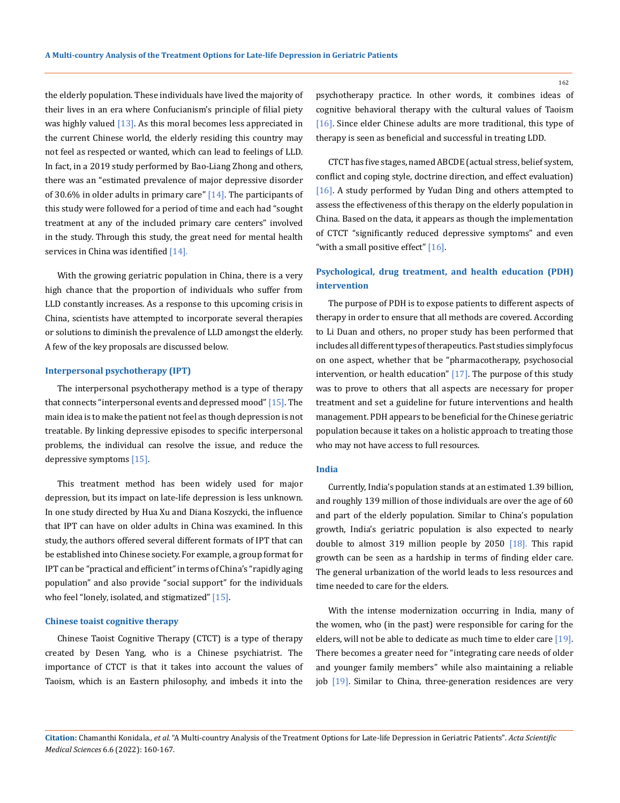the elderly population. These individuals have lived the majority of their lives in an era where Confucianism's principle of filial piety was highly valued  $[13]$ . As this moral becomes less appreciated in the current Chinese world, the elderly residing this country may not feel as respected or wanted, which can lead to feelings of LLD. In fact, in a 2019 study performed by Bao-Liang Zhong and others, there was an "estimated prevalence of major depressive disorder of 30.6% in older adults in primary care"  $[14]$ . The participants of this study were followed for a period of time and each had "sought treatment at any of the included primary care centers" involved in the study. Through this study, the great need for mental health services in China was identified [14].

With the growing geriatric population in China, there is a very high chance that the proportion of individuals who suffer from LLD constantly increases. As a response to this upcoming crisis in China, scientists have attempted to incorporate several therapies or solutions to diminish the prevalence of LLD amongst the elderly. A few of the key proposals are discussed below.

#### **Interpersonal psychotherapy (IPT)**

The interpersonal psychotherapy method is a type of therapy that connects "interpersonal events and depressed mood" [15]. The main idea is to make the patient not feel as though depression is not treatable. By linking depressive episodes to specific interpersonal problems, the individual can resolve the issue, and reduce the depressive symptoms [15].

This treatment method has been widely used for major depression, but its impact on late-life depression is less unknown. In one study directed by Hua Xu and Diana Koszycki, the influence that IPT can have on older adults in China was examined. In this study, the authors offered several different formats of IPT that can be established into Chinese society. For example, a group format for IPT can be "practical and efficient" in terms of China's "rapidly aging population" and also provide "social support" for the individuals who feel "lonely, isolated, and stigmatized" [15].

#### **Chinese toaist cognitive therapy**

Chinese Taoist Cognitive Therapy (CTCT) is a type of therapy created by Desen Yang, who is a Chinese psychiatrist. The importance of CTCT is that it takes into account the values of Taoism, which is an Eastern philosophy, and imbeds it into the

psychotherapy practice. In other words, it combines ideas of cognitive behavioral therapy with the cultural values of Taoism [16]. Since elder Chinese adults are more traditional, this type of therapy is seen as beneficial and successful in treating LDD.

CTCT has five stages, named ABCDE (actual stress, belief system, conflict and coping style, doctrine direction, and effect evaluation) [16]. A study performed by Yudan Ding and others attempted to assess the effectiveness of this therapy on the elderly population in China. Based on the data, it appears as though the implementation of CTCT "significantly reduced depressive symptoms" and even "with a small positive effect" [16].

# **Psychological, drug treatment, and health education (PDH) intervention**

The purpose of PDH is to expose patients to different aspects of therapy in order to ensure that all methods are covered. According to Li Duan and others, no proper study has been performed that includes all different types of therapeutics. Past studies simply focus on one aspect, whether that be "pharmacotherapy, psychosocial intervention, or health education" [17]. The purpose of this study was to prove to others that all aspects are necessary for proper treatment and set a guideline for future interventions and health management. PDH appears to be beneficial for the Chinese geriatric population because it takes on a holistic approach to treating those who may not have access to full resources.

#### **India**

Currently, India's population stands at an estimated 1.39 billion, and roughly 139 million of those individuals are over the age of 60 and part of the elderly population. Similar to China's population growth, India's geriatric population is also expected to nearly double to almost 319 million people by 2050 [18]. This rapid growth can be seen as a hardship in terms of finding elder care. The general urbanization of the world leads to less resources and time needed to care for the elders.

With the intense modernization occurring in India, many of the women, who (in the past) were responsible for caring for the elders, will not be able to dedicate as much time to elder care [19]. There becomes a greater need for "integrating care needs of older and younger family members" while also maintaining a reliable job [19]. Similar to China, three-generation residences are very

**Citation:** Chamanthi Konidala*., et al.* "A Multi-country Analysis of the Treatment Options for Late-life Depression in Geriatric Patients". *Acta Scientific Medical Sciences* 6.6 (2022): 160-167.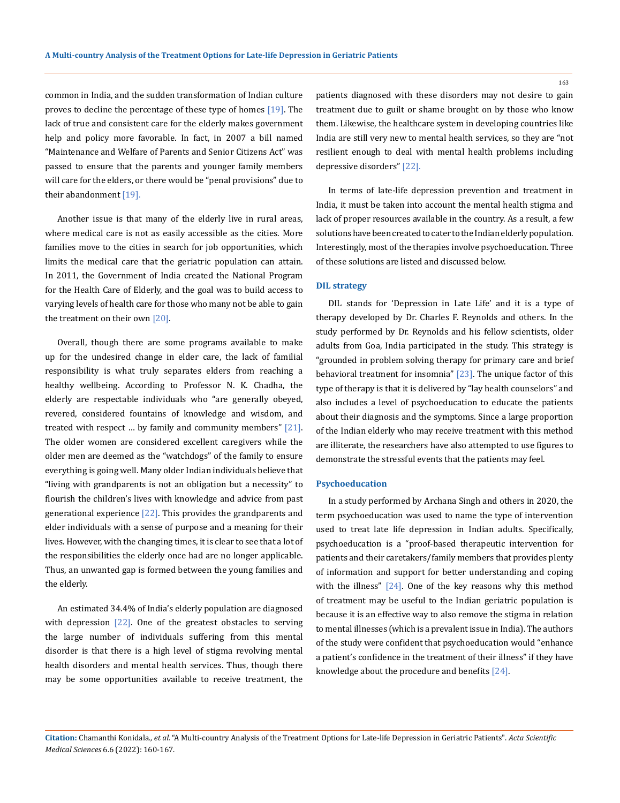common in India, and the sudden transformation of Indian culture proves to decline the percentage of these type of homes [19]. The lack of true and consistent care for the elderly makes government help and policy more favorable. In fact, in 2007 a bill named "Maintenance and Welfare of Parents and Senior Citizens Act" was passed to ensure that the parents and younger family members will care for the elders, or there would be "penal provisions" due to their abandonment [19].

Another issue is that many of the elderly live in rural areas, where medical care is not as easily accessible as the cities. More families move to the cities in search for job opportunities, which limits the medical care that the geriatric population can attain. In 2011, the Government of India created the National Program for the Health Care of Elderly, and the goal was to build access to varying levels of health care for those who many not be able to gain the treatment on their own [20].

Overall, though there are some programs available to make up for the undesired change in elder care, the lack of familial responsibility is what truly separates elders from reaching a healthy wellbeing. According to Professor N. K. Chadha, the elderly are respectable individuals who "are generally obeyed, revered, considered fountains of knowledge and wisdom, and treated with respect ... by family and community members"  $[21]$ . The older women are considered excellent caregivers while the older men are deemed as the "watchdogs" of the family to ensure everything is going well. Many older Indian individuals believe that "living with grandparents is not an obligation but a necessity" to flourish the children's lives with knowledge and advice from past generational experience  $[22]$ . This provides the grandparents and elder individuals with a sense of purpose and a meaning for their lives. However, with the changing times, it is clear to see that a lot of the responsibilities the elderly once had are no longer applicable. Thus, an unwanted gap is formed between the young families and the elderly.

An estimated 34.4% of India's elderly population are diagnosed with depression [22]. One of the greatest obstacles to serving the large number of individuals suffering from this mental disorder is that there is a high level of stigma revolving mental health disorders and mental health services. Thus, though there may be some opportunities available to receive treatment, the patients diagnosed with these disorders may not desire to gain treatment due to guilt or shame brought on by those who know them. Likewise, the healthcare system in developing countries like India are still very new to mental health services, so they are "not resilient enough to deal with mental health problems including depressive disorders" [22].

In terms of late-life depression prevention and treatment in India, it must be taken into account the mental health stigma and lack of proper resources available in the country. As a result, a few solutions have been created to cater to the Indian elderly population. Interestingly, most of the therapies involve psychoeducation. Three of these solutions are listed and discussed below.

### **DIL strategy**

DIL stands for 'Depression in Late Life' and it is a type of therapy developed by Dr. Charles F. Reynolds and others. In the study performed by Dr. Reynolds and his fellow scientists, older adults from Goa, India participated in the study. This strategy is "grounded in problem solving therapy for primary care and brief behavioral treatment for insomnia" [23]. The unique factor of this type of therapy is that it is delivered by "lay health counselors" and also includes a level of psychoeducation to educate the patients about their diagnosis and the symptoms. Since a large proportion of the Indian elderly who may receive treatment with this method are illiterate, the researchers have also attempted to use figures to demonstrate the stressful events that the patients may feel.

#### **Psychoeducation**

In a study performed by Archana Singh and others in 2020, the term psychoeducation was used to name the type of intervention used to treat late life depression in Indian adults. Specifically, psychoeducation is a "proof-based therapeutic intervention for patients and their caretakers/family members that provides plenty of information and support for better understanding and coping with the illness" [24]. One of the key reasons why this method of treatment may be useful to the Indian geriatric population is because it is an effective way to also remove the stigma in relation to mental illnesses (which is a prevalent issue in India). The authors of the study were confident that psychoeducation would "enhance a patient's confidence in the treatment of their illness" if they have knowledge about the procedure and benefits [24].

**Citation:** Chamanthi Konidala*., et al.* "A Multi-country Analysis of the Treatment Options for Late-life Depression in Geriatric Patients". *Acta Scientific Medical Sciences* 6.6 (2022): 160-167.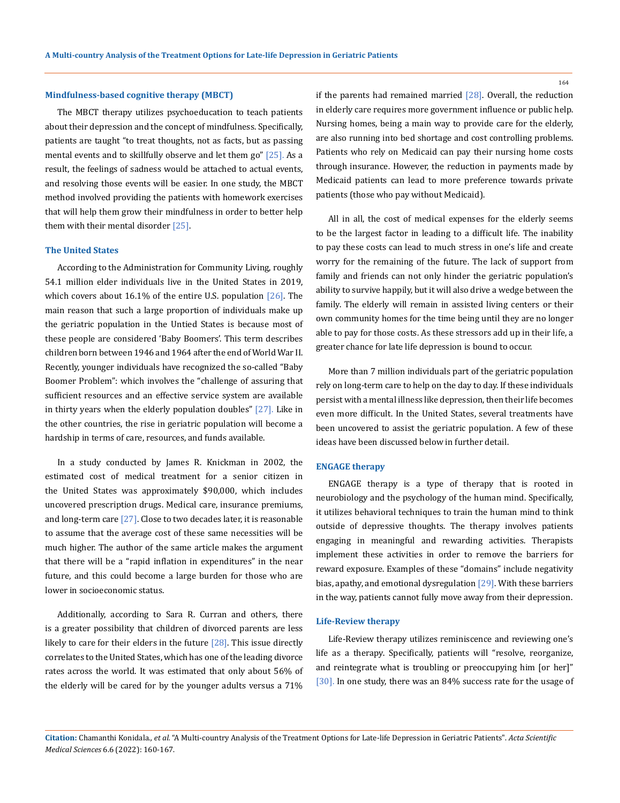#### **Mindfulness-based cognitive therapy (MBCT)**

The MBCT therapy utilizes psychoeducation to teach patients about their depression and the concept of mindfulness. Specifically, patients are taught "to treat thoughts, not as facts, but as passing mental events and to skillfully observe and let them go" [25]. As a result, the feelings of sadness would be attached to actual events, and resolving those events will be easier. In one study, the MBCT method involved providing the patients with homework exercises that will help them grow their mindfulness in order to better help them with their mental disorder [25].

#### **The United States**

According to the Administration for Community Living, roughly 54.1 million elder individuals live in the United States in 2019, which covers about 16.1% of the entire U.S. population  $[26]$ . The main reason that such a large proportion of individuals make up the geriatric population in the Untied States is because most of these people are considered 'Baby Boomers'. This term describes children born between 1946 and 1964 after the end of World War II. Recently, younger individuals have recognized the so-called "Baby Boomer Problem": which involves the "challenge of assuring that sufficient resources and an effective service system are available in thirty years when the elderly population doubles" [27]. Like in the other countries, the rise in geriatric population will become a hardship in terms of care, resources, and funds available.

In a study conducted by James R. Knickman in 2002, the estimated cost of medical treatment for a senior citizen in the United States was approximately \$90,000, which includes uncovered prescription drugs. Medical care, insurance premiums, and long-term care  $[27]$ . Close to two decades later, it is reasonable to assume that the average cost of these same necessities will be much higher. The author of the same article makes the argument that there will be a "rapid inflation in expenditures" in the near future, and this could become a large burden for those who are lower in socioeconomic status.

Additionally, according to Sara R. Curran and others, there is a greater possibility that children of divorced parents are less likely to care for their elders in the future  $[28]$ . This issue directly correlates to the United States, which has one of the leading divorce rates across the world. It was estimated that only about 56% of the elderly will be cared for by the younger adults versus a 71% if the parents had remained married  $[28]$ . Overall, the reduction in elderly care requires more government influence or public help. Nursing homes, being a main way to provide care for the elderly, are also running into bed shortage and cost controlling problems. Patients who rely on Medicaid can pay their nursing home costs through insurance. However, the reduction in payments made by Medicaid patients can lead to more preference towards private patients (those who pay without Medicaid).

All in all, the cost of medical expenses for the elderly seems to be the largest factor in leading to a difficult life. The inability to pay these costs can lead to much stress in one's life and create worry for the remaining of the future. The lack of support from family and friends can not only hinder the geriatric population's ability to survive happily, but it will also drive a wedge between the family. The elderly will remain in assisted living centers or their own community homes for the time being until they are no longer able to pay for those costs. As these stressors add up in their life, a greater chance for late life depression is bound to occur.

More than 7 million individuals part of the geriatric population rely on long-term care to help on the day to day. If these individuals persist with a mental illness like depression, then their life becomes even more difficult. In the United States, several treatments have been uncovered to assist the geriatric population. A few of these ideas have been discussed below in further detail.

#### **ENGAGE therapy**

ENGAGE therapy is a type of therapy that is rooted in neurobiology and the psychology of the human mind. Specifically, it utilizes behavioral techniques to train the human mind to think outside of depressive thoughts. The therapy involves patients engaging in meaningful and rewarding activities. Therapists implement these activities in order to remove the barriers for reward exposure. Examples of these "domains" include negativity bias, apathy, and emotional dysregulation [29]. With these barriers in the way, patients cannot fully move away from their depression.

#### **Life-Review therapy**

Life-Review therapy utilizes reminiscence and reviewing one's life as a therapy. Specifically, patients will "resolve, reorganize, and reintegrate what is troubling or preoccupying him [or her]" [30]. In one study, there was an 84% success rate for the usage of

**Citation:** Chamanthi Konidala*., et al.* "A Multi-country Analysis of the Treatment Options for Late-life Depression in Geriatric Patients". *Acta Scientific Medical Sciences* 6.6 (2022): 160-167.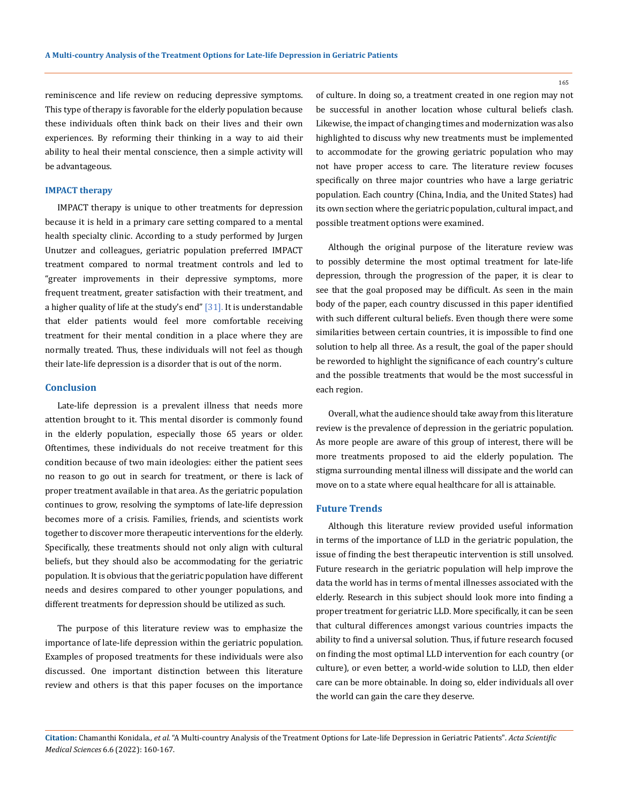reminiscence and life review on reducing depressive symptoms. This type of therapy is favorable for the elderly population because these individuals often think back on their lives and their own experiences. By reforming their thinking in a way to aid their ability to heal their mental conscience, then a simple activity will be advantageous.

### **IMPACT therapy**

IMPACT therapy is unique to other treatments for depression because it is held in a primary care setting compared to a mental health specialty clinic. According to a study performed by Jurgen Unutzer and colleagues, geriatric population preferred IMPACT treatment compared to normal treatment controls and led to "greater improvements in their depressive symptoms, more frequent treatment, greater satisfaction with their treatment, and a higher quality of life at the study's end" [31]. It is understandable that elder patients would feel more comfortable receiving treatment for their mental condition in a place where they are normally treated. Thus, these individuals will not feel as though their late-life depression is a disorder that is out of the norm.

#### **Conclusion**

Late-life depression is a prevalent illness that needs more attention brought to it. This mental disorder is commonly found in the elderly population, especially those 65 years or older. Oftentimes, these individuals do not receive treatment for this condition because of two main ideologies: either the patient sees no reason to go out in search for treatment, or there is lack of proper treatment available in that area. As the geriatric population continues to grow, resolving the symptoms of late-life depression becomes more of a crisis. Families, friends, and scientists work together to discover more therapeutic interventions for the elderly. Specifically, these treatments should not only align with cultural beliefs, but they should also be accommodating for the geriatric population. It is obvious that the geriatric population have different needs and desires compared to other younger populations, and different treatments for depression should be utilized as such.

The purpose of this literature review was to emphasize the importance of late-life depression within the geriatric population. Examples of proposed treatments for these individuals were also discussed. One important distinction between this literature review and others is that this paper focuses on the importance of culture. In doing so, a treatment created in one region may not be successful in another location whose cultural beliefs clash. Likewise, the impact of changing times and modernization was also highlighted to discuss why new treatments must be implemented to accommodate for the growing geriatric population who may not have proper access to care. The literature review focuses specifically on three major countries who have a large geriatric population. Each country (China, India, and the United States) had its own section where the geriatric population, cultural impact, and possible treatment options were examined.

Although the original purpose of the literature review was to possibly determine the most optimal treatment for late-life depression, through the progression of the paper, it is clear to see that the goal proposed may be difficult. As seen in the main body of the paper, each country discussed in this paper identified with such different cultural beliefs. Even though there were some similarities between certain countries, it is impossible to find one solution to help all three. As a result, the goal of the paper should be reworded to highlight the significance of each country's culture and the possible treatments that would be the most successful in each region.

Overall, what the audience should take away from this literature review is the prevalence of depression in the geriatric population. As more people are aware of this group of interest, there will be more treatments proposed to aid the elderly population. The stigma surrounding mental illness will dissipate and the world can move on to a state where equal healthcare for all is attainable.

#### **Future Trends**

Although this literature review provided useful information in terms of the importance of LLD in the geriatric population, the issue of finding the best therapeutic intervention is still unsolved. Future research in the geriatric population will help improve the data the world has in terms of mental illnesses associated with the elderly. Research in this subject should look more into finding a proper treatment for geriatric LLD. More specifically, it can be seen that cultural differences amongst various countries impacts the ability to find a universal solution. Thus, if future research focused on finding the most optimal LLD intervention for each country (or culture), or even better, a world-wide solution to LLD, then elder care can be more obtainable. In doing so, elder individuals all over the world can gain the care they deserve.

**Citation:** Chamanthi Konidala*., et al.* "A Multi-country Analysis of the Treatment Options for Late-life Depression in Geriatric Patients". *Acta Scientific Medical Sciences* 6.6 (2022): 160-167.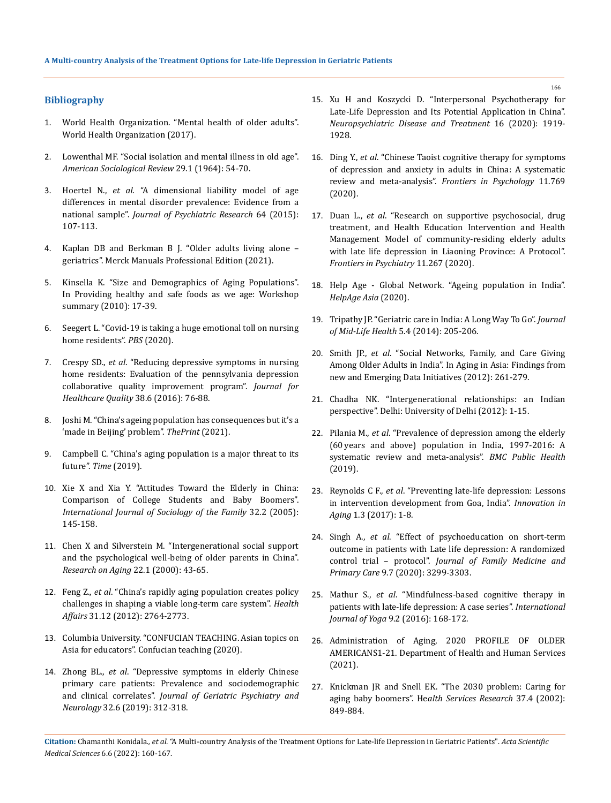# **Bibliography**

- 1. [World Health Organization. "Mental health of older adults".](https://www.who.int/news-room/fact-sheets/detail/mental-health-of-older-adults)  [World Health Organization \(2017\).](https://www.who.int/news-room/fact-sheets/detail/mental-health-of-older-adults)
- 2. [Lowenthal MF. "Social isolation and mental illness in old age".](https://doi.org/10.2307/2094641)  *[American Sociological Review](https://doi.org/10.2307/2094641)* 29.1 (1964): 54-70.
- 3. Hoertel N., *et al*[. "A dimensional liability model of age](https://doi.org/10.1016/j.jpsychires.2015.03.017)  [differences in mental disorder prevalence: Evidence from a](https://doi.org/10.1016/j.jpsychires.2015.03.017)  national sample". *[Journal of Psychiatric Research](https://doi.org/10.1016/j.jpsychires.2015.03.017)* 64 (2015): [107-113.](https://doi.org/10.1016/j.jpsychires.2015.03.017)
- 4. Kaplan DB and Berkman B J. "Older adults living alone geriatrics". Merck Manuals Professional Edition (2021).
- 5. Kinsella K. "Size and Demographics of Aging Populations". In Providing healthy and safe foods as we age: Workshop summary (2010): 17-39.
- 6. [Seegert L. "Covid-19 is taking a huge emotional toll on nursing](https://www.pbs.org/newshour/health/covid-19-is-taking-a-huge-emotional-toll-on-nursing-home-residents)  [home residents".](https://www.pbs.org/newshour/health/covid-19-is-taking-a-huge-emotional-toll-on-nursing-home-residents) *PBS* (2020).
- 7. Crespy SD., *et al*[. "Reducing depressive symptoms in nursing](https://doi.org/10.1097/jhq.0000000000000009)  [home residents: Evaluation of the pennsylvania depression](https://doi.org/10.1097/jhq.0000000000000009)  [collaborative quality improvement program".](https://doi.org/10.1097/jhq.0000000000000009) *Journal for [Healthcare Quality](https://doi.org/10.1097/jhq.0000000000000009)* 38.6 (2016): 76-88.
- 8. [Joshi M. "China's ageing population has consequences but it's a](https://theprint.in/opinion/chinas-ageing-population-has-consequences-but-its-a-made-in-beijing-problem/663201/)  ['made in Beijing' problem".](https://theprint.in/opinion/chinas-ageing-population-has-consequences-but-its-a-made-in-beijing-problem/663201/) *ThePrint* (2021).
- 9. [Campbell C. "China's aging population is a major threat to its](https://time.com/5523805/china-aging-population-working-age/)  future". *Time* [\(2019\).](https://time.com/5523805/china-aging-population-working-age/)
- 10. [Xie X and Xia Y. "Attitudes Toward the Elderly in China:](https://www.jstor.org/stable/23070653)  [Comparison of College Students and Baby Boomers".](https://www.jstor.org/stable/23070653)  *[International Journal of Sociology of the Family](https://www.jstor.org/stable/23070653)* 32.2 (2005): [145-158.](https://www.jstor.org/stable/23070653)
- 11. [Chen X and Silverstein M. "Intergenerational social support](https://doi.org/10.1177/0164027500221003)  [and the psychological well-being of older parents in China".](https://doi.org/10.1177/0164027500221003)  *[Research on Aging](https://doi.org/10.1177/0164027500221003)* 22.1 (2000): 43-65.
- 12. Feng Z., *et al*[. "China's rapidly aging population creates policy](https://doi.org/10.1377/hlthaff.2012.0535)  [challenges in shaping a viable long-term care system".](https://doi.org/10.1377/hlthaff.2012.0535) *Health Affairs* [31.12 \(2012\): 2764-2773.](https://doi.org/10.1377/hlthaff.2012.0535)
- 13. Columbia University. "CONFUCIAN TEACHING. Asian topics on Asia for educators". Confucian teaching (2020).
- 14. Zhong BL., *et al*[. "Depressive symptoms in elderly Chinese](https://doi.org/10.1177/0891988719862620)  [primary care patients: Prevalence and sociodemographic](https://doi.org/10.1177/0891988719862620)  and clinical correlates". *[Journal of Geriatric Psychiatry and](https://doi.org/10.1177/0891988719862620)  Neurology* [32.6 \(2019\): 312-318.](https://doi.org/10.1177/0891988719862620)
- 15. [Xu H and Koszycki D. "Interpersonal Psychotherapy for](https://doi.org/10.2147/ndt.s248027)  [Late-Life Depression and Its Potential Application in China".](https://doi.org/10.2147/ndt.s248027)  *[Neuropsychiatric Disease and Treatment](https://doi.org/10.2147/ndt.s248027)* 16 (2020): 1919- [1928.](https://doi.org/10.2147/ndt.s248027)
- 16. Ding Y., *et al*[. "Chinese Taoist cognitive therapy for symptoms](https://doi.org/10.3389/fpsyg.2020.00769)  [of depression and anxiety in adults in China: A systematic](https://doi.org/10.3389/fpsyg.2020.00769)  review and meta-analysis". *[Frontiers in Psychology](https://doi.org/10.3389/fpsyg.2020.00769)* 11.769 [\(2020\).](https://doi.org/10.3389/fpsyg.2020.00769)
- 17. Duan L., *et al*[. "Research on supportive psychosocial, drug](https://doi.org/10.3389/fpsyt.2020.00267)  [treatment, and Health Education Intervention and Health](https://doi.org/10.3389/fpsyt.2020.00267)  [Management Model of community-residing elderly adults](https://doi.org/10.3389/fpsyt.2020.00267)  [with late life depression in Liaoning Province: A Protocol".](https://doi.org/10.3389/fpsyt.2020.00267)  *[Frontiers in Psychiatry](https://doi.org/10.3389/fpsyt.2020.00267)* 11.267 (2020).
- 18. Help Age Global Network. "Ageing population in India". *HelpAge Asia* (2020).
- 19. [Tripathy JP. "Geriatric care in India: A Long Way To Go".](https://doi.org/10.4103/0976-7800.145176) *Journal [of Mid-Life Health](https://doi.org/10.4103/0976-7800.145176)* 5.4 (2014): 205-206.
- 20. Smith JP., *et al*. "Social Networks, Family, and Care Giving Among Older Adults in India". In Aging in Asia: Findings from new and Emerging Data Initiatives (2012): 261-279.
- 21. Chadha NK. "Intergenerational relationships: an Indian perspective". Delhi: University of Delhi (2012): 1-15.
- 22. Pilania M., *et al*[. "Prevalence of depression among the elderly](https://bmcpublichealth.biomedcentral.com/articles/10.1186/s12889-019-7136-z)  [\(60 years and above\) population in India, 1997-2016: A](https://bmcpublichealth.biomedcentral.com/articles/10.1186/s12889-019-7136-z)  [systematic review and meta-analysis".](https://bmcpublichealth.biomedcentral.com/articles/10.1186/s12889-019-7136-z) *BMC Public Health* [\(2019\).](https://bmcpublichealth.biomedcentral.com/articles/10.1186/s12889-019-7136-z)
- 23. Reynolds C F., *et al*[. "Preventing late-life depression: Lessons](https://doi.org/10.1093/geroni/igx030)  [in intervention development from Goa, India".](https://doi.org/10.1093/geroni/igx030) *Innovation in Aging* [1.3 \(2017\): 1-8.](https://doi.org/10.1093/geroni/igx030)
- 24. Singh A., *et al*[. "Effect of psychoeducation on short-term](https://doi.org/10.4103/jfmpc.jfmpc_311_20)  [outcome in patients with Late life depression: A randomized](https://doi.org/10.4103/jfmpc.jfmpc_311_20)  control trial – protocol". *[Journal of Family Medicine and](https://doi.org/10.4103/jfmpc.jfmpc_311_20)  Primary Care* [9.7 \(2020\): 3299-3303.](https://doi.org/10.4103/jfmpc.jfmpc_311_20)
- 25. Mathur S., *et al*[. "Mindfulness-based cognitive therapy in](https://doi.org/10.4103/0973-6131.183711)  [patients with late-life depression: A case series".](https://doi.org/10.4103/0973-6131.183711) *International Journal of Yoga* [9.2 \(2016\): 168-172.](https://doi.org/10.4103/0973-6131.183711)
- 26. Administration of Aging, 2020 PROFILE OF OLDER AMERICANS1-21. Department of Health and Human Services (2021).
- 27. [Knickman JR and Snell EK. "The 2030 problem: Caring for](https://doi.org/10.1034/j.1600-0560.2002.56.x)  aging baby boomers". He*[alth Services Research](https://doi.org/10.1034/j.1600-0560.2002.56.x)* 37.4 (2002): [849-884.](https://doi.org/10.1034/j.1600-0560.2002.56.x)

**Citation:** Chamanthi Konidala*., et al.* "A Multi-country Analysis of the Treatment Options for Late-life Depression in Geriatric Patients". *Acta Scientific Medical Sciences* 6.6 (2022): 160-167.